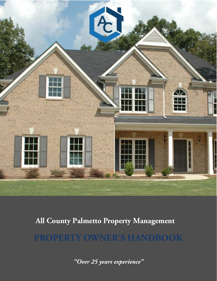

## **All County Palmetto Property Management**

**PROPERTY OWNER'S HANDBOOK**

*"Over 25 years experience "*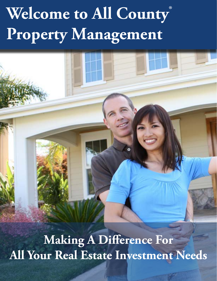# **Welcome to All County ® Property Management**

**Making A Difference For All Your Real Estate Investment Needs**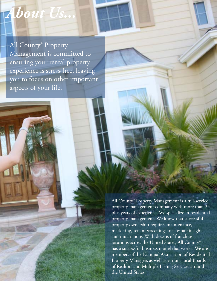All County® Property Management is committed to ensuring your rental property experience is stress-free, leaving you to focus on other important

aspects of your life.

*About Us...*

All County® Property Management is a full-service property management company with more than 25 plus years of experience. We specialize in residential property management. We know that successful property ownership requires maintenance, marketing, tenant screenings, real estate insight and much more. With dozens of franchise locations across the United States, All County® has a successful business model that works. We are members of the National Association of Residential Property Managers as well as various local Boards of Realtors and Multiple Listing Services around the United States.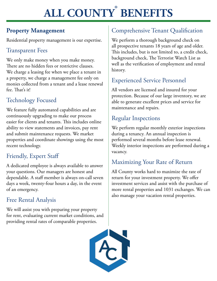#### **ALL COUNTY ® BENEFITS**

## **Property Management**

Residential property management is our expertise.

## Transparent Fees

We only make money when you make money. There are no hidden fees or restrictive clauses. We charge a leasing fee when we place a tenant in a property, we charge a management fee only on monies collected from a tenant and a lease renewal fee. That's it!

## Technology Focused

We feature fully automated capabilities and are continuously upgrading to make our process easier for clients and tenants. This includes online ability to view statements and invoices, pay rent and submit maintenance requests. We market properties and coordinate showings using the most recent technology.

## Friendly, Expert Staff

A dedicated employee is always available to answer your questions. Our managers are honest and dependable. A staff member is always on-call seven days a week, twenty-four hours a day, in the event of an emergency.

## Free Rental Analysis

We will assist you with preparing your property for rent, evaluating current market conditions, and providing rental rates of comparable properties.

## Comprehensive Tenant Qualification

We perform a thorough background check on all prospective tenants 18 years of age and older. This includes, but is not limited to, a credit check, background check, The Terrorist Watch List as well as the verification of employment and rental history.

## Experienced Service Personnel

All vendors are licensed and insured for your protection. Because of our large inventory, we are able to generate excellent prices and service for maintenance and repairs.

## Regular Inspections

We perform regular monthly exterior inspections during a tenancy. An annual inspection is performed several months before lease renewal. Weekly interior inspections are performed during a vacancy.

## Maximizing Your Rate of Return

All County works hard to maximize the rate of return for your investment property. We offer investment services and assist with the purchase of more rental properties and 1031 exchanges. We can also manage your vacation rental properties.

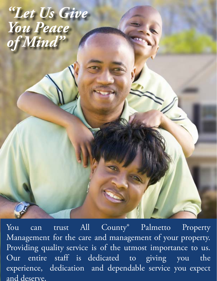*"Let Us Give You Peace of Mind"*

You can trust All County® Palmetto Property Management for the care and management of your property. Providing quality service is of the utmost importance to us. Our entire staff is dedicated to giving you the experience, dedication and dependable service you expect and deserve.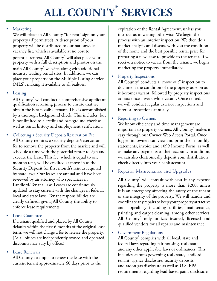#### **ALL COUNTY ® SERVICES**

#### **Marketing**

We will place an All County "for rent" sign on your property (if permitted). A description of your property will be distributed to our nationwide vacancy list, which is available at no cost to potential renters. All County<sup>®</sup> will also place your property with a full description and photos on the main All County<sup>®</sup> website, along with additional industry leading rental sites. In addition, we can place your property on the Multiple Listing Service (MLS), making it available to all realtors.

#### • Leasing

All County<sup>®</sup> will conduct a comprehensive applicant qualification screening process to ensure that we obtain the best possible tenant. This is accomplished by a thorough background check. This includes, but is not limited to a credit and background check as well as rental history and employment verification.

• Collecting a Security Deposit/Reservation Fee All County requires a security deposit/reservation fee to remove the property from the market and will schedule a time with the potential renter to sign and execute the lease. This fee, which is equal to one month's rent, will be credited at move-in as the Security Deposit (or first month's rent as required by state law). Our leases are annual and have been reviewed by an attorney who specializes in Landlord/Tenant Law. Leases are continuously updated to stay current with the changes in federal, local and state laws. Tenant responsibilities are clearly defined, giving All County the ability to enforce lease requirements.

#### • Lease Guarantee

If a tenant qualified and placed by All County defaults within the first 6 months of the original lease term, we will not charge a fee to release the property. (As all offices are independently owned and operated, discounts may vary by office.)

#### • Lease Renewals

All County attempts to renew the lease with the current tenant approximately 60 days prior to the expiration of the Rental Agreement, unless you instruct us in writing otherwise. We begin the process with an interior inspection. We then do a market analysis and discuss with you the condition of the home and the best possible rental price for preparing a new lease to provide to the tenant. If we receive a notice to vacate from the tenant, we begin marketing the property immediately.

#### Property Inspections

All County® conducts a "move out" inspection to document the condition of the property as soon as it becomes vacant, followed by property inspections at least once a week while vacant. Once rented, we will conduct regular exterior inspections and interior inspections annually.

#### • Reporting to Owners

We know efficiency and time management are important to property owners. All County<sup>®</sup> makes it easy through our Owner Web Access Portal. Once logged in, owners can view and print their monthly statements, invoice and 1099 Income Form, as well as make any payments to their account. In addition, we can also electronically deposit your distribution check directly into your bank account.

#### • Repairs, Maintenance and Upgrades

All County<sup>®</sup> will consult with you if any expense regarding the property is more than \$200, unless it is an emergency affecting the safety of the tenant or the integrity of the property. We will handle and coordinate any repairs to keep your property attractive and appealing, including utilities, maintenance, painting and carpet cleaning, among other services. All County<sup>®</sup> only utilizes insured, licensed and qualified vendors for all repairs and maintenance.

#### Government Regulations

All County complies with all local, state and federal laws regarding fair housing, real estate and any other applicable laws or ordinances. This includes statutes governing real estate, landlordtenant, agency disclosure, security deposits and radon gas disclosure as well as U.S. EPA requirements regarding lead-based paint disclosure.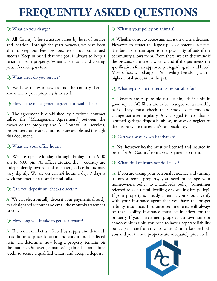## **FREQUENTLY ASKED QUESTIONS**

#### Q: What do you charge?

A: All County<sup>®</sup>'s fee structure varies by level of service and location. Through the years however, we have been able to keep our fees low, because of our continued success. Keep in mind that our goal is always to keep a tenant in your property. When it is vacant and costing you, it's costing us too.

#### Q: What areas do you service?

A: We have many offices around the country. Let us know where your property is located.

#### Q: How is the management agreement established?

A: The agreement is established by a written contract called the "Management Agreement" between the owner of the property and All County<sup>®</sup>. All services, procedures, terms and conditions are established through this document.

#### Q: What are your office hours?

A: We are open Monday through Friday from 9:00 am to 5:00 pm. As offices around the country are independently owned and operated, office hours may vary slightly. We are on call 24 hours a day, 7 days a week for emergencies and rental calls.

#### Q: Can you deposit my checks directly?

A: We can electronically deposit your payments directly to a designated account and email the monthly statement to you.

Q: How long will it take to get us a tenant?

A: The rental market is affected by supply and demand, in addition to price, location and condition. The listed item will determine how long a property remains on the market. Our average marketing time is about three weeks to secure a qualified tenant and accept a deposit.

#### Q: What is your policy on animals?

A: Whether or not to accept animals is the owner's decision. However, to attract the largest pool of potential tenants, it is best to remain open to the possibility of pets if the community allows them. From there, we can determine if the prospects are credit worthy, and if the pet meets the specifications for an approved pet regarding size and breed. Most offices will charge a Pet Privilege Fee along with a higher rental amount for the pet.

#### Q: What repairs are the tenants responsible for?

A: Tenants are responsible for keeping their unit in good repair. AC filters are to be changed on a monthly basis. They must check their smoke detectors and change batteries regularly. Any clogged toilets, drains, jammed garbage disposals, abuse, misuse or neglect of the property are the tenant's responsibility.

#### Q: Can we use our own handyman?

A: Yes, however he/she must be licensed and insured in order for All County<sup>®</sup> to make a payment to them.

#### Q: What kind of insurance do I need?

 A: If you are taking your personal residence and turning it into a rental property, you need to change your homeowner's policy to a landlord's policy (sometimes referred to as a rental dwelling or dwelling fire policy). If your property is already a rental, you should verify with your insurance agent that you have the proper liability insurance. Insurance requirements will always be that liability insurance must be in effect for the property. If your investment property is a townhome or condominium unit, you need to have a separate liability policy (separate from the association) to make sure both you and your rental property are adequately protected.